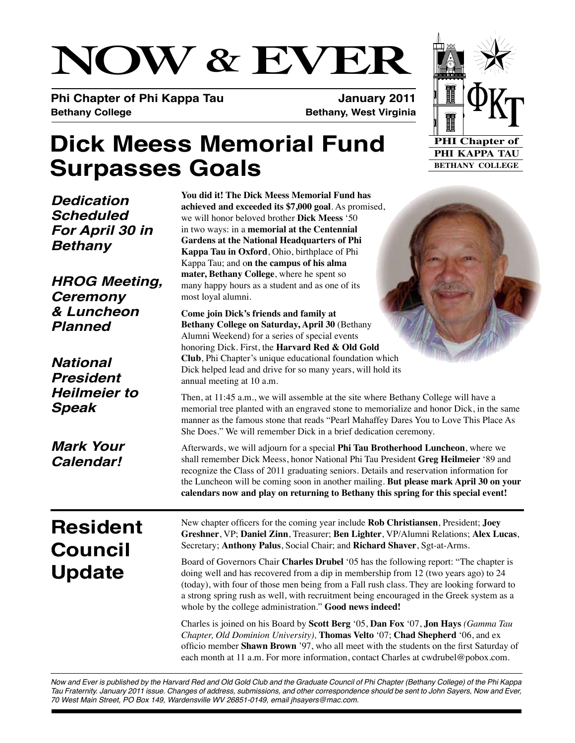# **NOW & EVER**

**Phi Chapter of Phi Kappa Tau January 2011 Bethany College Bethany, West Virginia**

## **Dick Meess Memorial Fund Surpasses Goals**

*Dedication Scheduled For April 30 in Bethany*

*HROG Meeting, Ceremony & Luncheon Planned*

*National President Heilmeier to Speak*

*Mark Your Calendar!*

**You did it! The Dick Meess Memorial Fund has achieved and exceeded its \$7,000 goal**. As promised, we will honor beloved brother **Dick Meess** '50 in two ways: in a **memorial at the Centennial Gardens at the National Headquarters of Phi Kappa Tau in Oxford**, Ohio, birthplace of Phi Kappa Tau; and o**n the campus of his alma mater, Bethany College**, where he spent so many happy hours as a student and as one of its most loyal alumni.

**Come join Dick's friends and family at Bethany College on Saturday, April 30** (Bethany Alumni Weekend) for a series of special events honoring Dick. First, the **Harvard Red & Old Gold Club**, Phi Chapter's unique educational foundation which Dick helped lead and drive for so many years, will hold its annual meeting at 10 a.m.

Then, at 11:45 a.m., we will assemble at the site where Bethany College will have a memorial tree planted with an engraved stone to memorialize and honor Dick, in the same manner as the famous stone that reads "Pearl Mahaffey Dares You to Love This Place As She Does." We will remember Dick in a brief dedication ceremony.

Afterwards, we will adjourn for a special **Phi Tau Brotherhood Luncheon**, where we shall remember Dick Meess, honor National Phi Tau President **Greg Heilmeier** '89 and recognize the Class of 2011 graduating seniors. Details and reservation information for the Luncheon will be coming soon in another mailing. **But please mark April 30 on your calendars now and play on returning to Bethany this spring for this special event!**

### **Resident Council Update**

New chapter officers for the coming year include **Rob Christiansen**, President; **Joey Greshner**, VP; **Daniel Zinn**, Treasurer; **Ben Lighter**, VP/Alumni Relations; **Alex Lucas**, Secretary; **Anthony Palus**, Social Chair; and **Richard Shaver**, Sgt-at-Arms.

Board of Governors Chair **Charles Drubel** '05 has the following report: "The chapter is doing well and has recovered from a dip in membership from 12 (two years ago) to 24 (today), with four of those men being from a Fall rush class. They are looking forward to a strong spring rush as well, with recruitment being encouraged in the Greek system as a whole by the college administration." **Good news indeed!**

Charles is joined on his Board by **Scott Berg** '05, **Dan Fox** '07, **Jon Hays** *(Gamma Tau Chapter, Old Dominion University),* **Thomas Velto** '07; **Chad Shepherd** '06, and ex officio member **Shawn Brown** '97, who all meet with the students on the first Saturday of each month at 11 a.m. For more information, contact Charles at cwdrubel@pobox.com.

*Now and Ever is published by the Harvard Red and Old Gold Club and the Graduate Council of Phi Chapter (Bethany College) of the Phi Kappa Tau Fraternity. January 2011 issue. Changes of address, submissions, and other correspondence should be sent to John Sayers, Now and Ever, 70 West Main Street, PO Box 149, Wardensville WV 26851-0149, email jhsayers@mac.com.*